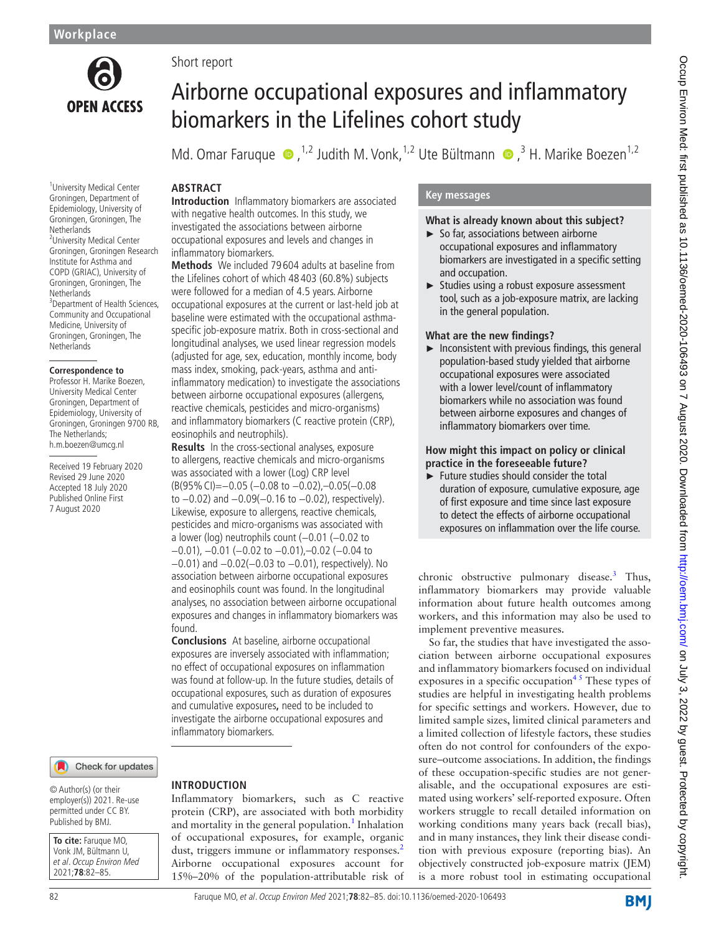

<sup>1</sup> University Medical Center Groningen, Department of Epidemiology, University of Groningen, Groningen, The **Netherlands** <sup>2</sup>University Medical Center Groningen, Groningen Research Institute for Asthma and COPD (GRIAC), University of Groningen, Groningen, The **Netherlands** <sup>3</sup> Department of Health Sciences, Community and Occupational Medicine, University of Groningen, Groningen, The

**Netherlands** 

**Correspondence to** Professor H. Marike Boezen, University Medical Center Groningen, Department of Epidemiology, University of Groningen, Groningen 9700 RB, The Netherlands; h.m.boezen@umcg.nl

Received 19 February 2020 Revised 29 June 2020 Accepted 18 July 2020 Published Online First 7 August 2020

#### Check for updates

© Author(s) (or their employer(s)) 2021. Re-use permitted under CC BY. Published by BMJ.

**To cite:** Faruque MO, Vonk JM, Bültmann U, et al. Occup Environ Med 2021;**78**:82–85.

# Short report

# Airborne occupational exposures and inflammatory biomarkers in the Lifelines cohort study

Md.Omar Faruque  $\bullet$ , <sup>1,2</sup> Judith M. Vonk, <sup>1,2</sup> Ute Bültmann  $\bullet$ , <sup>3</sup> H. Marike Boezen<sup>1,2</sup>

# **ABSTRACT**

**Introduction** Inflammatory biomarkers are associated with negative health outcomes. In this study, we investigated the associations between airborne occupational exposures and levels and changes in inflammatory biomarkers.

**Methods** We included 79 604 adults at baseline from the Lifelines cohort of which 48 403 (60.8%) subjects were followed for a median of 4.5 years. Airborne occupational exposures at the current or last-held job at baseline were estimated with the occupational asthmaspecific job-exposure matrix. Both in cross-sectional and longitudinal analyses, we used linear regression models (adjusted for age, sex, education, monthly income, body mass index, smoking, pack-years, asthma and antiinflammatory medication) to investigate the associations between airborne occupational exposures (allergens, reactive chemicals, pesticides and micro-organisms) and inflammatory biomarkers (C reactive protein (CRP), eosinophils and neutrophils).

**Results** In the cross-sectional analyses, exposure to allergens, reactive chemicals and micro-organisms was associated with a lower (Log) CRP level (B(95%CI)=−0.05 (−0.08 to −0.02),–0.05(−0.08 to −0.02) and −0.09(−0.16 to −0.02), respectively). Likewise, exposure to allergens, reactive chemicals, pesticides and micro-organisms was associated with a lower (log) neutrophils count (−0.01 (−0.02 to −0.01), −0.01 (−0.02 to −0.01),–0.02 (−0.04 to −0.01) and −0.02(−0.03 to −0.01), respectively). No association between airborne occupational exposures and eosinophils count was found. In the longitudinal analyses, no association between airborne occupational exposures and changes in inflammatory biomarkers was found.

**Conclusions** At baseline, airborne occupational exposures are inversely associated with inflammation; no effect of occupational exposures on inflammation was found at follow-up. In the future studies, details of occupational exposures, such as duration of exposures and cumulative exposures**,** need to be included to investigate the airborne occupational exposures and inflammatory biomarkers.

# **INTRODUCTION**

Inflammatory biomarkers, such as C reactive protein (CRP), are associated with both morbidity and mortality in the general population.<sup>[1](#page-3-0)</sup> Inhalation of occupational exposures, for example, organic dust, triggers immune or inflammatory responses.<sup>[2](#page-3-1)</sup> Airborne occupational exposures account for 15%–20% of the population-attributable risk of

# **Key messages**

# **What is already known about this subject?**

- ► So far, associations between airborne occupational exposures and inflammatory biomarkers are investigated in a specific setting and occupation.
- ► Studies using a robust exposure assessment tool, such as a job-exposure matrix, are lacking in the general population.

#### **What are the new findings?**

 $\blacktriangleright$  Inconsistent with previous findings, this general population-based study yielded that airborne occupational exposures were associated with a lower level/count of inflammatory biomarkers while no association was found between airborne exposures and changes of inflammatory biomarkers over time.

### **How might this impact on policy or clinical practice in the foreseeable future?**

► Future studies should consider the total duration of exposure, cumulative exposure, age of first exposure and time since last exposure to detect the effects of airborne occupational exposures on inflammation over the life course.

chronic obstructive pulmonary disease.<sup>[3](#page-3-2)</sup> Thus, inflammatory biomarkers may provide valuable information about future health outcomes among workers, and this information may also be used to implement preventive measures.

So far, the studies that have investigated the association between airborne occupational exposures and inflammatory biomarkers focused on individual exposures in a specific occupation<sup>45</sup> These types of studies are helpful in investigating health problems for specific settings and workers. However, due to limited sample sizes, limited clinical parameters and a limited collection of lifestyle factors, these studies often do not control for confounders of the exposure–outcome associations. In addition, the findings of these occupation-specific studies are not generalisable, and the occupational exposures are estimated using workers' self-reported exposure. Often workers struggle to recall detailed information on working conditions many years back (recall bias), and in many instances, they link their disease condition with previous exposure (reporting bias). An objectively constructed job-exposure matrix (JEM) is a more robust tool in estimating occupational

**BMI**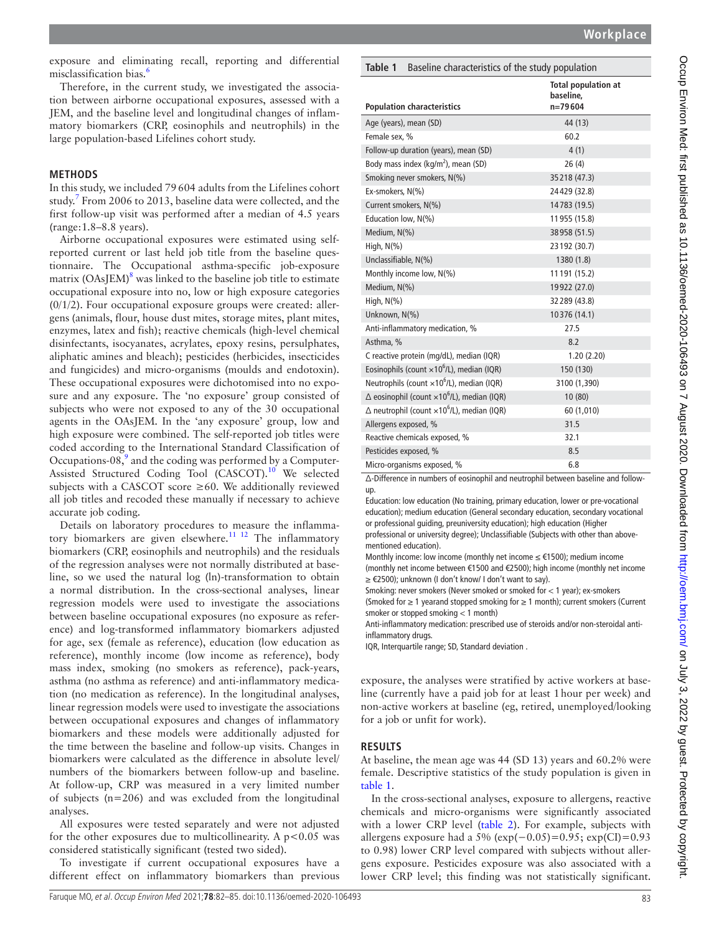exposure and eliminating recall, reporting and differential misclassification bias.<sup>6</sup>

Therefore, in the current study, we investigated the association between airborne occupational exposures, assessed with a JEM, and the baseline level and longitudinal changes of inflammatory biomarkers (CRP, eosinophils and neutrophils) in the large population-based Lifelines cohort study.

### **METHODS**

In this study, we included 79604 adults from the Lifelines cohort study.<sup>7</sup> From 2006 to 2013, baseline data were collected, and the first follow-up visit was performed after a median of 4.5 years (range:1.8–8.8 years).

Airborne occupational exposures were estimated using selfreported current or last held job title from the baseline questionnaire. The Occupational asthma-specific job-exposure matrix (OAsJEM)<sup>8</sup> was linked to the baseline job title to estimate occupational exposure into no, low or high exposure categories  $(0/1/2)$ . Four occupational exposure groups were created: allergens (animals, flour, house dust mites, storage mites, plant mites, enzymes, latex and fish); reactive chemicals (high-level chemical disinfectants, isocyanates, acrylates, epoxy resins, persulphates, aliphatic amines and bleach); pesticides (herbicides, insecticides and fungicides) and micro-organisms (moulds and endotoxin). These occupational exposures were dichotomised into no exposure and any exposure. The 'no exposure' group consisted of subjects who were not exposed to any of the 30 occupational agents in the OAsJEM. In the 'any exposure' group, low and high exposure were combined. The self-reported job titles were coded according to the International Standard Classification of Occupations-08, $9^9$  $9^9$  and the coding was performed by a Computer-Assisted Structured Coding Tool (CASCOT).<sup>[10](#page-3-8)</sup> We selected subjects with a CASCOT score  $\geq 60$ . We additionally reviewed all job titles and recoded these manually if necessary to achieve accurate job coding.

Details on laboratory procedures to measure the inflammatory biomarkers are given elsewhere.<sup>11 12</sup> The inflammatory biomarkers (CRP, eosinophils and neutrophils) and the residuals of the regression analyses were not normally distributed at baseline, so we used the natural log (ln)-transformation to obtain a normal distribution. In the cross-sectional analyses, linear regression models were used to investigate the associations between baseline occupational exposures (no exposure as reference) and log-transformed inflammatory biomarkers adjusted for age, sex (female as reference), education (low education as reference), monthly income (low income as reference), body mass index, smoking (no smokers as reference), pack-years, asthma (no asthma as reference) and anti-inflammatory medication (no medication as reference). In the longitudinal analyses, linear regression models were used to investigate the associations between occupational exposures and changes of inflammatory biomarkers and these models were additionally adjusted for the time between the baseline and follow-up visits. Changes in biomarkers were calculated as the difference in absolute level/ numbers of the biomarkers between follow-up and baseline. At follow-up, CRP was measured in a very limited number of subjects (n=206) and was excluded from the longitudinal analyses.

All exposures were tested separately and were not adjusted for the other exposures due to multicollinearity. A  $p < 0.05$  was considered statistically significant (tested two sided).

To investigate if current occupational exposures have a different effect on inflammatory biomarkers than previous

<span id="page-1-0"></span>

| Table 1 Baseline characteristics of the study population |  |
|----------------------------------------------------------|--|
|                                                          |  |

|                                                               | <b>Total population at</b><br>baseline, |  |
|---------------------------------------------------------------|-----------------------------------------|--|
| <b>Population characteristics</b>                             | $n = 79604$                             |  |
| Age (years), mean (SD)                                        | 44 (13)                                 |  |
| Female sex, %                                                 | 60.2                                    |  |
| Follow-up duration (years), mean (SD)                         | 4(1)                                    |  |
| Body mass index (kg/m <sup>2</sup> ), mean (SD)               | 26(4)                                   |  |
| Smoking never smokers, N(%)                                   | 35 218 (47.3)                           |  |
| Ex-smokers, N(%)                                              | 24429 (32.8)                            |  |
| Current smokers, N(%)                                         | 14783 (19.5)                            |  |
| Education low, $N(\%)$                                        | 11 955 (15.8)                           |  |
| Medium, N(%)                                                  | 38 958 (51.5)                           |  |
| High, $N(\%)$                                                 | 23 192 (30.7)                           |  |
| Unclassifiable, N(%)                                          | 1380 (1.8)                              |  |
| Monthly income low, N(%)                                      | 11 191 (15.2)                           |  |
| Medium, N(%)                                                  | 19922 (27.0)                            |  |
| High, $N(\%)$                                                 | 32 289 (43.8)                           |  |
| Unknown, N(%)                                                 | 10376 (14.1)                            |  |
| Anti-inflammatory medication, %                               | 27.5                                    |  |
| Asthma, %                                                     | 8.2                                     |  |
| C reactive protein (mg/dL), median (IQR)                      | 1.20(2.20)                              |  |
| Eosinophils (count $\times 10^6$ /L), median (IQR)            | 150 (130)                               |  |
| Neutrophils (count ×10 <sup>6</sup> /L), median (IQR)         | 3100 (1,390)                            |  |
| $\triangle$ eosinophil (count $\times 10^6$ /L), median (IQR) | 10(80)                                  |  |
| $\triangle$ neutrophil (count $\times 10^6$ /L), median (IQR) | 60 (1,010)                              |  |
| Allergens exposed, %                                          | 31.5                                    |  |
| Reactive chemicals exposed, %                                 | 32.1                                    |  |
| Pesticides exposed, %                                         | 8.5                                     |  |
| Micro-organisms exposed, %                                    | 6.8                                     |  |

Δ-Difference in numbers of eosinophil and neutrophil between baseline and followup.

Education: low education (No training, primary education, lower or pre-vocational education); medium education (General secondary education, secondary vocational or professional guiding, preuniversity education); high education (Higher

professional or university degree); Unclassifiable (Subjects with other than abovementioned education).

Monthly income: low income (monthly net income ≤ €1500); medium income (monthly net income between €1500 and €2500); high income (monthly net income ≥ €2500); unknown (I don't know/ I don't want to say).

Smoking: never smokers (Never smoked or smoked for < 1 year); ex-smokers

(Smoked for ≥ 1 yearand stopped smoking for ≥ 1 month); current smokers (Current smoker or stopped smoking < 1 month)

Anti-inflammatory medication: prescribed use of steroids and/or non-steroidal antiinflammatory drugs.

IQR, Interquartile range; SD, Standard deviation .

exposure, the analyses were stratified by active workers at baseline (currently have a paid job for at least 1hour per week) and non-active workers at baseline (eg, retired, unemployed/looking for a job or unfit for work).

# **RESULTS**

At baseline, the mean age was 44 (SD 13) years and 60.2% were female. Descriptive statistics of the study population is given in [table](#page-1-0) 1.

In the cross-sectional analyses, exposure to allergens, reactive chemicals and micro-organisms were significantly associated with a lower CRP level ([table](#page-2-0) 2). For example, subjects with allergens exposure had a  $5\%$  (exp( $-0.05$ )=0.95; exp(CI)=0.93 to 0.98) lower CRP level compared with subjects without allergens exposure. Pesticides exposure was also associated with a lower CRP level; this finding was not statistically significant.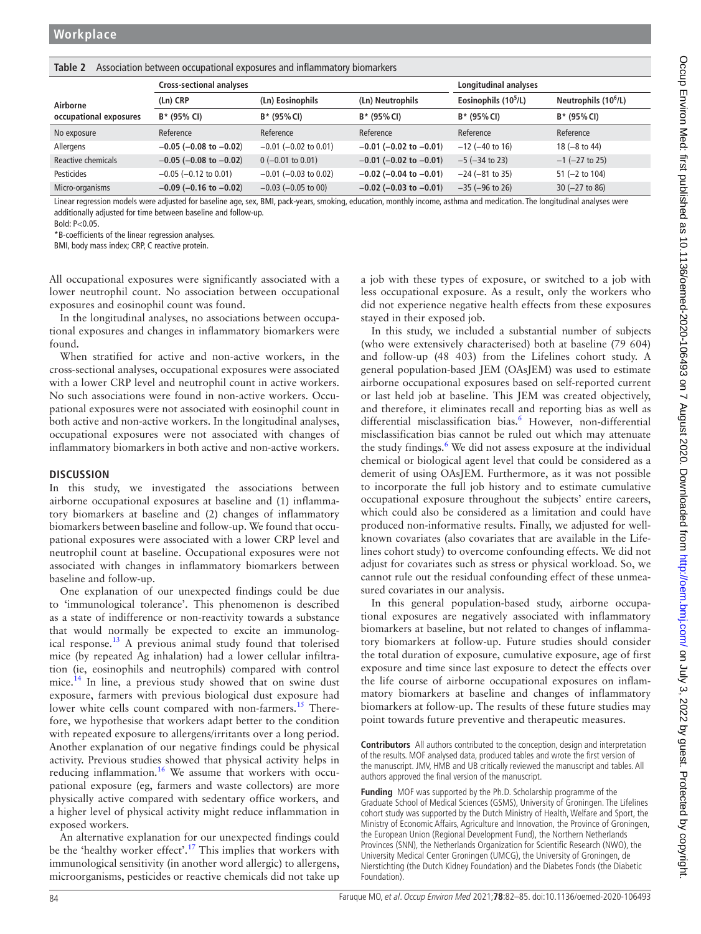<span id="page-2-0"></span>

| Table 2 Association between occupational exposures and inflammatory biomarkers |  |  |  |
|--------------------------------------------------------------------------------|--|--|--|
|--------------------------------------------------------------------------------|--|--|--|

|                                    | <b>Cross-sectional analyses</b> |                            | Longitudinal analyses          |                       |                                  |
|------------------------------------|---------------------------------|----------------------------|--------------------------------|-----------------------|----------------------------------|
| Airborne<br>occupational exposures | (Ln) CRP                        | (Ln) Eosinophils           | (Ln) Neutrophils               | Eosinophils $(105/L)$ | Neutrophils (10 <sup>6</sup> /L) |
|                                    | B* (95% CI)                     | $B*$ (95% CI)              | $B*$ (95% CI)                  | $B*$ (95% CI)         | $B*$ (95% CI)                    |
| No exposure                        | Reference                       | Reference                  | Reference                      | Reference             | Reference                        |
| Allergens                          | $-0.05$ ( $-0.08$ to $-0.02$ )  | $-0.01$ ( $-0.02$ to 0.01) | $-0.01$ ( $-0.02$ to $-0.01$ ) | $-12$ ( $-40$ to 16)  | $18 (-8 to 44)$                  |
| <b>Reactive chemicals</b>          | $-0.05$ ( $-0.08$ to $-0.02$ )  | $0$ (-0.01 to 0.01)        | $-0.01$ ( $-0.02$ to $-0.01$ ) | $-5$ ( $-34$ to 23)   | $-1$ ( $-27$ to 25)              |
| <b>Pesticides</b>                  | $-0.05$ ( $-0.12$ to 0.01)      | $-0.01$ ( $-0.03$ to 0.02) | $-0.02$ ( $-0.04$ to $-0.01$ ) | $-24$ ( $-81$ to 35)  | $51 (-2 to 104)$                 |
| Micro-organisms                    | $-0.09$ ( $-0.16$ to $-0.02$ )  | $-0.03$ ( $-0.05$ to 00)   | $-0.02$ (-0.03 to $-0.01$ )    | $-35$ ( $-96$ to 26)  | $30 (-27 to 86)$                 |

Linear regression models were adjusted for baseline age, sex, BMI, pack-years, smoking, education, monthly income, asthma and medication. The longitudinal analyses were additionally adjusted for time between baseline and follow-up.

Bold: P<0.05.

\*B-coefficients of the linear regression analyses.

BMI, body mass index; CRP, C reactive protein.

All occupational exposures were significantly associated with a lower neutrophil count. No association between occupational exposures and eosinophil count was found.

In the longitudinal analyses, no associations between occupational exposures and changes in inflammatory biomarkers were found.

When stratified for active and non-active workers, in the cross-sectional analyses, occupational exposures were associated with a lower CRP level and neutrophil count in active workers. No such associations were found in non-active workers. Occupational exposures were not associated with eosinophil count in both active and non-active workers. In the longitudinal analyses, occupational exposures were not associated with changes of inflammatory biomarkers in both active and non-active workers.

#### **DISCUSSION**

In this study, we investigated the associations between airborne occupational exposures at baseline and (1) inflammatory biomarkers at baseline and (2) changes of inflammatory biomarkers between baseline and follow-up. We found that occupational exposures were associated with a lower CRP level and neutrophil count at baseline. Occupational exposures were not associated with changes in inflammatory biomarkers between baseline and follow-up.

One explanation of our unexpected findings could be due to 'immunological tolerance'. This phenomenon is described as a state of indifference or non-reactivity towards a substance that would normally be expected to excite an immunolog-ical response.<sup>[13](#page-3-10)</sup> A previous animal study found that tolerised mice (by repeated Ag inhalation) had a lower cellular infiltration (ie, eosinophils and neutrophils) compared with control mice.[14](#page-3-11) In line, a previous study showed that on swine dust exposure, farmers with previous biological dust exposure had lower white cells count compared with non-farmers.<sup>15</sup> Therefore, we hypothesise that workers adapt better to the condition with repeated exposure to allergens/irritants over a long period. Another explanation of our negative findings could be physical activity. Previous studies showed that physical activity helps in reducing inflammation.<sup>[16](#page-3-13)</sup> We assume that workers with occupational exposure (eg, farmers and waste collectors) are more physically active compared with sedentary office workers, and a higher level of physical activity might reduce inflammation in exposed workers.

An alternative explanation for our unexpected findings could be the 'healthy worker effect'.<sup>[17](#page-3-14)</sup> This implies that workers with immunological sensitivity (in another word allergic) to allergens, microorganisms, pesticides or reactive chemicals did not take up a job with these types of exposure, or switched to a job with less occupational exposure. As a result, only the workers who did not experience negative health effects from these exposures stayed in their exposed job.

In this study, we included a substantial number of subjects (who were extensively characterised) both at baseline (79 604) and follow-up (48 403) from the Lifelines cohort study. A general population-based JEM (OAsJEM) was used to estimate airborne occupational exposures based on self-reported current or last held job at baseline. This JEM was created objectively, and therefore, it eliminates recall and reporting bias as well as differential misclassification bias.<sup>6</sup> However, non-differential misclassification bias cannot be ruled out which may attenuate the study findings.<sup>[6](#page-3-4)</sup> We did not assess exposure at the individual chemical or biological agent level that could be considered as a demerit of using OAsJEM. Furthermore, as it was not possible to incorporate the full job history and to estimate cumulative occupational exposure throughout the subjects' entire careers, which could also be considered as a limitation and could have produced non-informative results. Finally, we adjusted for wellknown covariates (also covariates that are available in the Lifelines cohort study) to overcome confounding effects. We did not adjust for covariates such as stress or physical workload. So, we cannot rule out the residual confounding effect of these unmeasured covariates in our analysis.

In this general population-based study, airborne occupational exposures are negatively associated with inflammatory biomarkers at baseline, but not related to changes of inflammatory biomarkers at follow-up. Future studies should consider the total duration of exposure, cumulative exposure, age of first exposure and time since last exposure to detect the effects over the life course of airborne occupational exposures on inflammatory biomarkers at baseline and changes of inflammatory biomarkers at follow-up. The results of these future studies may point towards future preventive and therapeutic measures.

**Contributors** All authors contributed to the conception, design and interpretation of the results. MOF analysed data, produced tables and wrote the first version of the manuscript. JMV, HMB and UB critically reviewed the manuscript and tables. All authors approved the final version of the manuscript.

**Funding** MOF was supported by the Ph.D. Scholarship programme of the Graduate School of Medical Sciences (GSMS), University of Groningen. The Lifelines cohort study was supported by the Dutch Ministry of Health, Welfare and Sport, the Ministry of Economic Affairs, Agriculture and Innovation, the Province of Groningen, the European Union (Regional Development Fund), the Northern Netherlands Provinces (SNN), the Netherlands Organization for Scientific Research (NWO), the University Medical Center Groningen (UMCG), the University of Groningen, de Nierstichting (the Dutch Kidney Foundation) and the Diabetes Fonds (the Diabetic Foundation).